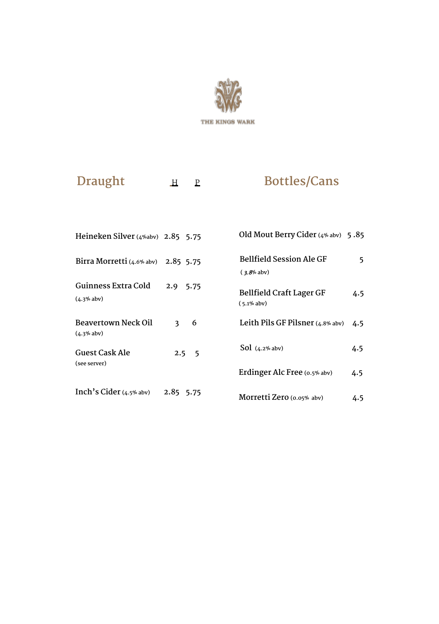

**Draught H** P

# **Bottles/Cans**

| Heineken Silver (4%abv) 2.85 5.75   |                              | Old Mout Berry Cider (4% abv) 5.85        |     |
|-------------------------------------|------------------------------|-------------------------------------------|-----|
| Birra Morretti (4.6% abv)           | 2.85 5.75                    | Bellfield Session Ale GF<br>$(3.8%$ abv)  | 5   |
| Guinness Extra Cold<br>$(4.3%$ aby) | 2.9<br>5.75                  | Bellfield Craft Lager GF<br>$(5.1\%$ abv) | 4.5 |
| Beavertown Neck Oil<br>$(4.3%$ aby) | 6<br>$\overline{\mathbf{3}}$ | Leith Pils GF Pilsner $(4.8\%$ abv)       | 4.5 |
| Guest Cask Ale                      | $2.5\quad 5$                 | $Sol$ (4.2% abv)                          | 4.5 |
| (see server)                        |                              | Erdinger Alc Free (0.5% abv)              | 4.5 |
| Inch's Cider $(4.5\%$ aby)          | 2.85 5.75                    | Morretti Zero (0.05% aby)                 | 4.5 |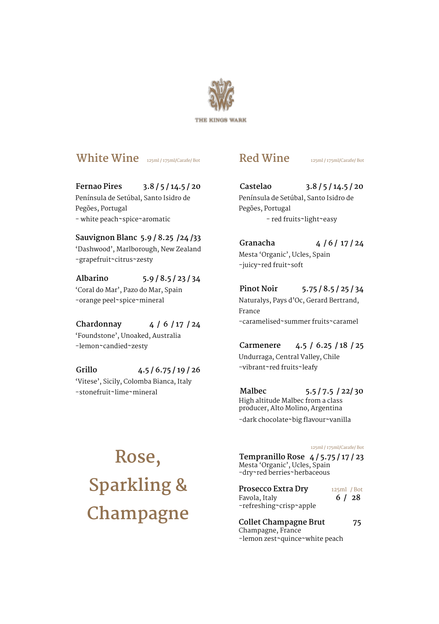

#### **White Wine** 125ml / 175ml/Carafe/ Bot

**Fernao Pires 3.8 / 5 / 14.5 / 20** Península de Setúbal, Santo Isidro de Pegões, Portugal - white peach~spice~aromatic

**Sauvignon Blanc 5.9 / 8.25 /24 /33** 'Dashwood', Marlborough, New Zealand -grapefruit~citrus~zesty

**Albarino 5.9 / 8.5 / 23 / 34** 'Coral do Mar', Pazo do Mar, Spain -orange peel~spice~mineral

**Chardonnay 4 / 6 / 17 / 24** 'Foundstone', Unoaked, Australia -lemon~candied~zesty

**Grillo 4.5 / 6.75 / 19 / 26** 'Vitese', Sicily, Colomba Bianca, Italy -stonefruit~lime~mineral

#### **Red Wine** 125ml / 175ml/Carafe/ Bot

**Castelao 3.8 / 5 / 14.5 / 20** Península de Setúbal, Santo Isidro de Pegões, Portugal - red fruits~light~easy

**Granacha 4 / 6 / 17 / 24** Mesta 'Organic', Ucles, Spain -juicy~red fruit~soft

**Pinot Noir 5.75 / 8.5 / 25 / 34** Naturalys, Pays d'Oc, Gerard Bertrand, France -caramelised~summer fruits~caramel

**Carmenere 4.5 / 6.25 / 18 / 25** Undurraga, Central Valley, Chile -vibrant~red fruits~leafy

**Malbec 5.5 / 7.5 / 22/ 30** High altitude Malbec from a class producer, Alto Molino, Argentina -dark chocolate~big flavour~vanilla

**Rose, Sparkling & Champagne** 125ml / 175ml/Carafe/ Bot

**Tempranillo Rose 4 / 5.75 / 17 / 23** Mesta 'Organic', Ucles, Spain -dry~red berries~herbaceous

**Prosecco Extra Dry** 125ml / Bot<br>**Eavola Italy** 6 / 28 Favola, Italy **6 / 28** -refreshing~crisp~apple

**Collet Champagne Brut 75** Champagne, France -lemon zest~quince~white peach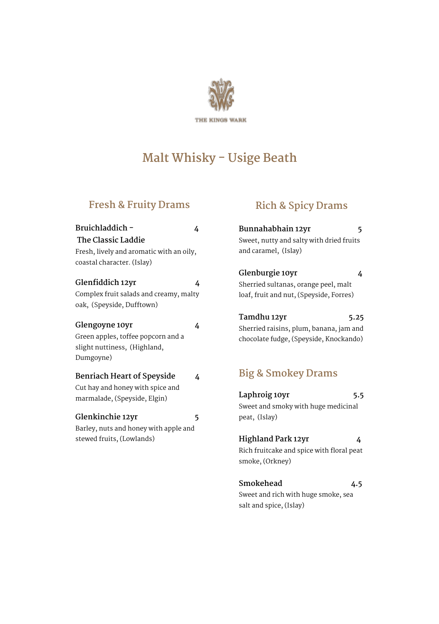

# **Malt Whisky - Usige Beath**

#### **Fresh & Fruity Drams**

| Bruichladdich -                          | 4 |
|------------------------------------------|---|
| The Classic Laddie                       |   |
| Fresh, lively and aromatic with an oily, |   |
| coastal character. (Islay)               |   |
| Glenfiddich 12yr                         | 4 |
| Complex fruit salads and creamy, malty   |   |
| oak, (Speyside, Dufftown)                |   |
| Glengoyne 10yr                           | 4 |
| Green apples, toffee popcorn and a       |   |
| slight nuttiness, (Highland,             |   |
| Dumgoyne)                                |   |
| Benriach Heart of Speyside               | 4 |
| Cut hay and honey with spice and         |   |
| marmalade, (Speyside, Elgin)             |   |
| Glenkinchie 12yr                         | 5 |
| Barley, nuts and honey with apple and    |   |
| stewed fruits, (Lowlands)                |   |
|                                          |   |
|                                          |   |
|                                          |   |

#### **Rich & Spicy Drams**

| Bunnahabhain 12yr                        | 5 |
|------------------------------------------|---|
| Sweet, nutty and salty with dried fruits |   |
| and caramel, (Islay)                     |   |

**Glenburgie 10yr 4** Sherried sultanas, orange peel, malt loaf, fruit and nut, (Speyside, Forres)

**Tamdhu 12yr 5.25** Sherried raisins, plum, banana, jam and chocolate fudge, (Speyside, Knockando)

### **Big & Smokey Drams**

| Laphroig 10yr                             | 5.5 |
|-------------------------------------------|-----|
| Sweet and smoky with huge medicinal       |     |
| peat, (Islay)                             |     |
|                                           |     |
| Highland Park 12yr                        | 4   |
| Rich fruitcake and spice with floral peat |     |
| smoke, (Orkney)                           |     |
|                                           |     |
| Smokehead                                 | 4.5 |
| Sweet and rich with huge smoke, sea       |     |

salt and spice, (Islay)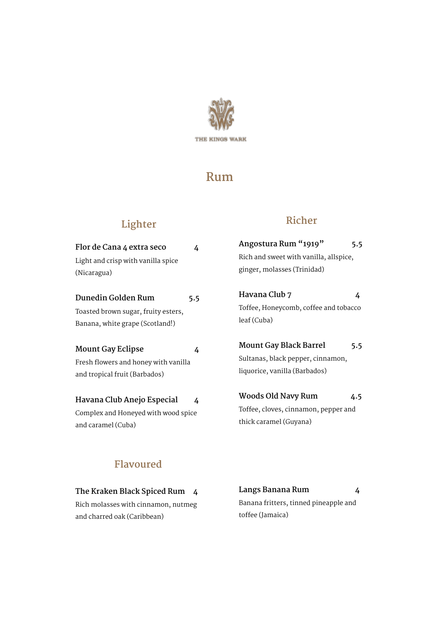

## **Rum**

#### **Lighter**

| Flor de Cana 4 extra seco                                                                  | 4   | Angostura Rum                                                       |
|--------------------------------------------------------------------------------------------|-----|---------------------------------------------------------------------|
| Light and crisp with vanilla spice                                                         |     | Rich and sweet wit<br>ginger, molasses (                            |
| (Nicaragua)<br>Dunedin Golden Rum                                                          | 5.5 | Havana Club 7                                                       |
| Toasted brown sugar, fruity esters,<br>Banana, white grape (Scotland!)                     |     | Toffee, Honeycom<br>leaf (Cuba)                                     |
| Mount Gay Eclipse<br>Fresh flowers and honey with vanilla<br>and tropical fruit (Barbados) | 4   | <b>Mount Gay Blac</b><br>Sultanas, black pe<br>liquorice, vanilla ( |
| Havana Club Anejo Especial<br>Complex and Honeyed with wood spice<br>and caramel (Cuba)    | 4   | Woods Old Nav<br>Toffee, cloves, cin<br>thick caramel (Guy          |

## **Richer**

| Cana 4 extra seco            | Angostura Rum "1919"                   |
|------------------------------|----------------------------------------|
| 4                            | 5.5                                    |
| d crisp with vanilla spice   | Rich and sweet with vanilla, allspice, |
| ua)                          | ginger, molasses (Trinidad)            |
| n Golden Rum                 | Havana Club 7                          |
| 5.5                          | 4                                      |
| prown sugar, fruity esters,  | Toffee, Honeycomb, coffee and tobacco  |
| white grape (Scotland!)      | leaf (Cuba)                            |
| Gay Eclipse                  | Mount Gay Black Barrel                 |
| 4                            | 5.5                                    |
| wers and honey with vanilla  | Sultanas, black pepper, cinnamon,      |
| ical fruit (Barbados)        | liquorice, vanilla (Barbados)          |
| ا Club Anejo Especial        | Woods Old Navy Rum                     |
| 4                            | 4.5                                    |
| and Honeyed with wood spice: | Toffee, cloves, cinnamon, pepper and   |
| mel (Cuba)                   | thick caramel (Guyana)                 |

#### **Flavoured**

**The Kraken Black Spiced Rum 4** Rich molasses with cinnamon, nutmeg and charred oak (Caribbean)

**Langs Banana Rum 4** Banana fritters, tinned pineapple and toffee (Jamaica)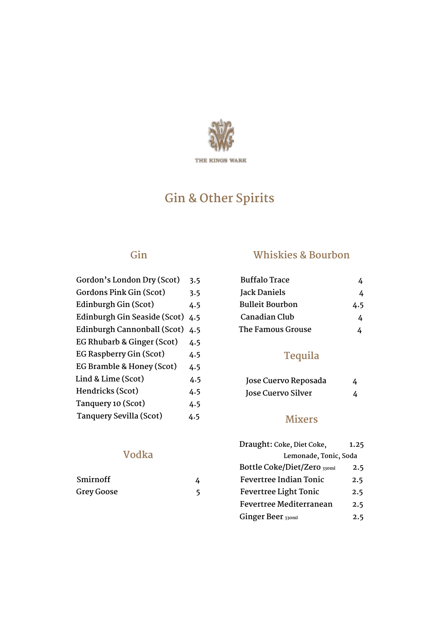

# **Gin & Other Spirits**

#### **Gin**

| Gordon's London Dry (Scot)   | 3.5 |
|------------------------------|-----|
| Gordons Pink Gin (Scot)      | 3.5 |
| Edinburgh Gin (Scot)         | 4.5 |
| Edinburgh Gin Seaside (Scot) | 4.5 |
| Edinburgh Cannonball (Scot)  | 4.5 |
| EG Rhubarb & Ginger (Scot)   | 4.5 |
| EG Raspberry Gin (Scot)      | 4.5 |
| EG Bramble & Honey (Scot)    | 4.5 |
| Lind & Lime (Scot)           | 4.5 |
| Hendricks (Scot)             | 4.5 |
| Tanquery 10 (Scot)           | 4.5 |
| Tanquery Sevilla (Scot)      | 4.5 |

#### **Whiskies & Bourbon**

| <b>Buffalo Trace</b>   |     |
|------------------------|-----|
| Jack Daniels           | 4   |
| <b>Bulleit Bourbon</b> | 4.5 |
| Canadian Club          | 4   |
| The Famous Grouse      |     |

#### **Tequila**

| Jose Cuervo Reposada | 4 |
|----------------------|---|
| Jose Cuervo Silver   |   |

#### **Mixers**

| 1.25                  |
|-----------------------|
| Lemonade, Tonic, Soda |
| 2.5                   |
| 2.5                   |
| 2.5                   |
| 2.5                   |
| 2.5                   |
|                       |

#### **Vodka**

| Smirnoff   |  |
|------------|--|
| Grey Goose |  |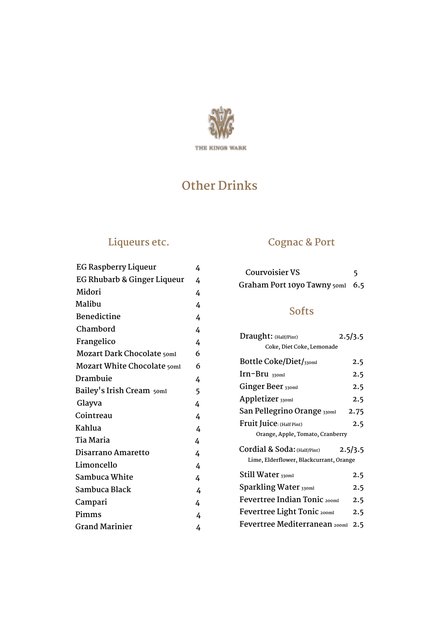

# **Other Drinks**

#### **Liqueurs etc.**

| <b>EG Raspberry Liqueur</b> | 4 |
|-----------------------------|---|
| EG Rhubarb & Ginger Liqueur | 4 |
| Midori                      | 4 |
| Malibu                      | 4 |
| Benedictine                 | 4 |
| Chambord                    | 4 |
| Frangelico                  | 4 |
| Mozart Dark Chocolate 50ml  | 6 |
| Mozart White Chocolate 50ml | 6 |
| Drambuie                    | 4 |
| Bailey's Irish Cream 50ml   | 5 |
| Glayva                      | 4 |
| Cointreau                   | 4 |
| Kahlua                      | 4 |
| Tia Maria                   | 4 |
| Disarrano Amaretto          | 4 |
| Limoncello                  | 4 |
| Sambuca White               | 4 |
| Sambuca Black               | 4 |
| Campari                     | 4 |
| Pimms                       | 4 |
| <b>Grand Marinier</b>       | 4 |
|                             |   |

### **Cognac & Port**

| <b>Courvoisier VS</b>           |  |
|---------------------------------|--|
| Graham Port 10yo Tawny 50ml 6.5 |  |

#### **Softs**

| Draught: (Half/Pint)                    | 2.5/3.5 |  |
|-----------------------------------------|---------|--|
| Coke, Diet Coke, Lemonade               |         |  |
| <b>Bottle Coke/Diet/330ml</b>           | 2.5     |  |
| $\text{Irn-Bru}$ 330ml                  | 2.5     |  |
| Ginger Beer 330ml                       | 2.5     |  |
| Appletizer 330ml                        | 2.5     |  |
| San Pellegrino Orange 330ml             | 2.75    |  |
| Fruit Juice: (Half Pint)                | 2.5     |  |
| Orange, Apple, Tomato, Cranberry        |         |  |
| Cordial & Soda: (Half/Pint)             | 2.5/3.5 |  |
| Lime, Elderflower, Blackcurrant, Orange |         |  |
| Still Water 330ml                       | 2.5     |  |
| Sparkling Water 330ml                   | 2.5     |  |
| Fevertree Indian Tonic 200ml            | 2.5     |  |
| <b>Fevertree Light Tonic 200ml</b>      | 2.5     |  |
| Fevertree Mediterranean 200ml           | 2.5     |  |